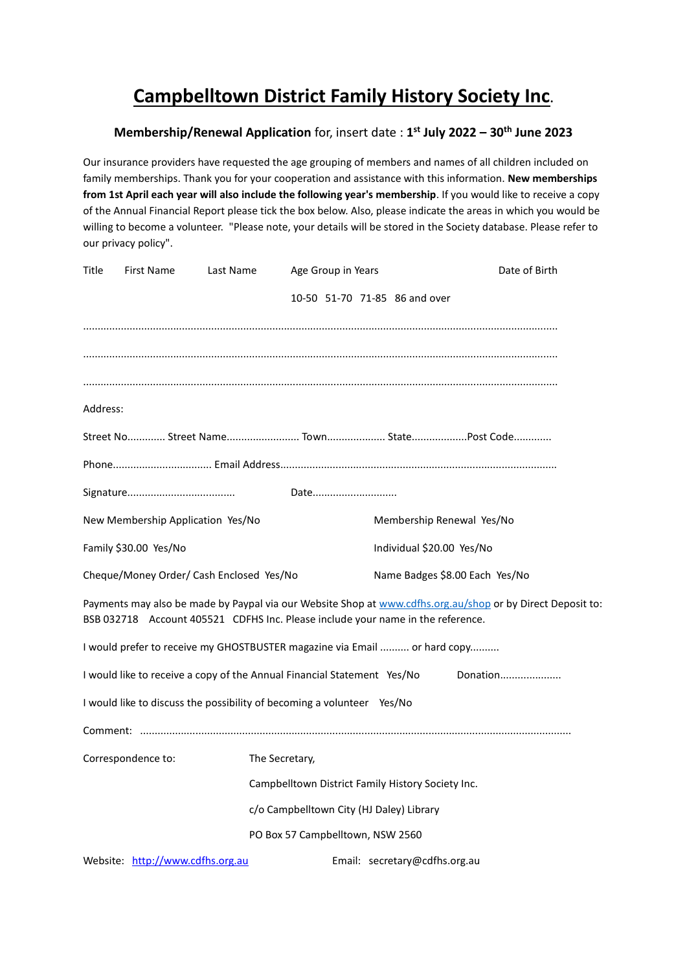## **Campbelltown District Family History Society Inc.**

## **Membership/Renewal Application** for, insert date : **1 st July 2022 – 30th June 2023**

Our insurance providers have requested the age grouping of members and names of all children included on family memberships. Thank you for your cooperation and assistance with this information. **New memberships from 1st April each year will also include the following year's membership**. If you would like to receive a copy of the Annual Financial Report please tick the box below. Also, please indicate the areas in which you would be willing to become a volunteer. "Please note, your details will be stored in the Society database. Please refer to our privacy policy".

| Title                                    | <b>First Name</b>                 | Last Name | Age Group in Years                                                              |                                | Date of Birth                                                                                              |  |
|------------------------------------------|-----------------------------------|-----------|---------------------------------------------------------------------------------|--------------------------------|------------------------------------------------------------------------------------------------------------|--|
|                                          |                                   |           |                                                                                 | 10-50 51-70 71-85 86 and over  |                                                                                                            |  |
|                                          |                                   |           |                                                                                 |                                |                                                                                                            |  |
|                                          |                                   |           |                                                                                 |                                |                                                                                                            |  |
|                                          |                                   |           |                                                                                 |                                |                                                                                                            |  |
| Address:                                 |                                   |           |                                                                                 |                                |                                                                                                            |  |
|                                          |                                   |           |                                                                                 |                                | Street No………… Street Name…………………… Town……………… State……………… Post Code…………                                     |  |
|                                          |                                   |           |                                                                                 |                                |                                                                                                            |  |
|                                          |                                   |           | Date                                                                            |                                |                                                                                                            |  |
|                                          | New Membership Application Yes/No |           |                                                                                 |                                | Membership Renewal Yes/No                                                                                  |  |
|                                          | Family \$30.00 Yes/No             |           |                                                                                 | Individual \$20.00 Yes/No      |                                                                                                            |  |
| Cheque/Money Order/ Cash Enclosed Yes/No |                                   |           |                                                                                 | Name Badges \$8.00 Each Yes/No |                                                                                                            |  |
|                                          |                                   |           | BSB 032718 Account 405521 CDFHS Inc. Please include your name in the reference. |                                | Payments may also be made by Paypal via our Website Shop at www.cdfhs.org.au/shop or by Direct Deposit to: |  |
|                                          |                                   |           | I would prefer to receive my GHOSTBUSTER magazine via Email  or hard copy       |                                |                                                                                                            |  |
|                                          |                                   |           | I would like to receive a copy of the Annual Financial Statement Yes/No         |                                | Donation                                                                                                   |  |
|                                          |                                   |           | I would like to discuss the possibility of becoming a volunteer Yes/No          |                                |                                                                                                            |  |
|                                          |                                   |           |                                                                                 |                                |                                                                                                            |  |
| Correspondence to:                       |                                   |           | The Secretary,                                                                  |                                |                                                                                                            |  |
|                                          |                                   |           | Campbelltown District Family History Society Inc.                               |                                |                                                                                                            |  |
|                                          |                                   |           | c/o Campbelltown City (HJ Daley) Library                                        |                                |                                                                                                            |  |
|                                          |                                   |           | PO Box 57 Campbelltown, NSW 2560                                                |                                |                                                                                                            |  |
|                                          | Website: http://www.cdfhs.org.au  |           |                                                                                 | Email: secretary@cdfhs.org.au  |                                                                                                            |  |